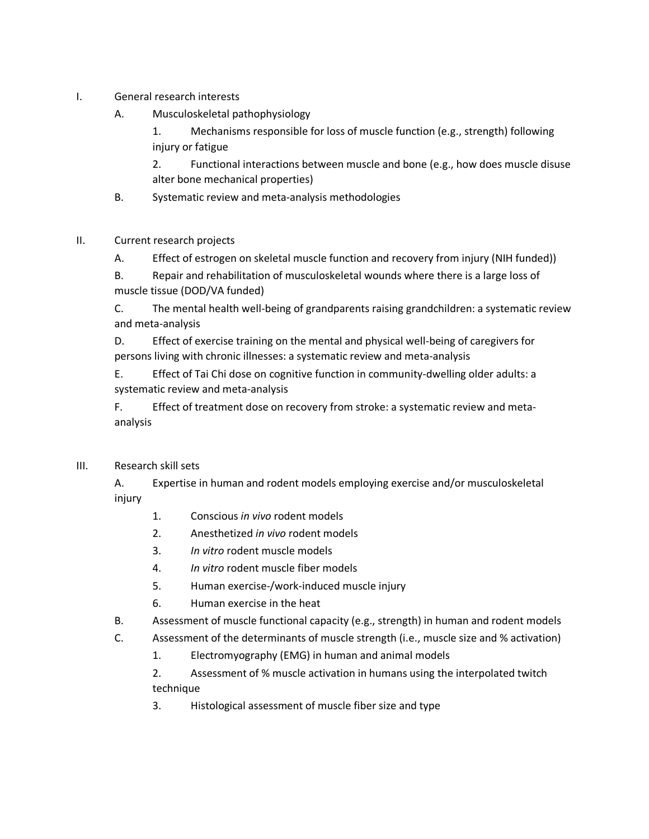- I. General research interests
	- A. Musculoskeletal pathophysiology
		- 1. Mechanisms responsible for loss of muscle function (e.g., strength) following injury or fatigue

2. Functional interactions between muscle and bone (e.g., how does muscle disuse alter bone mechanical properties)

- B. Systematic review and meta-analysis methodologies
- II. Current research projects
	- A. Effect of estrogen on skeletal muscle function and recovery from injury (NIH funded))

B. Repair and rehabilitation of musculoskeletal wounds where there is a large loss of muscle tissue (DOD/VA funded)

C. The mental health well-being of grandparents raising grandchildren: a systematic review and meta-analysis

D. Effect of exercise training on the mental and physical well-being of caregivers for persons living with chronic illnesses: a systematic review and meta-analysis

E. Effect of Tai Chi dose on cognitive function in community-dwelling older adults: a systematic review and meta-analysis

F. Effect of treatment dose on recovery from stroke: a systematic review and metaanalysis

III. Research skill sets

A. Expertise in human and rodent models employing exercise and/or musculoskeletal injury

- 1. Conscious *in vivo* rodent models
- 2. Anesthetized *in vivo* rodent models
- 3. *In vitro* rodent muscle models
- 4. *In vitro* rodent muscle fiber models
- 5. Human exercise-/work-induced muscle injury
- 6. Human exercise in the heat
- B. Assessment of muscle functional capacity (e.g., strength) in human and rodent models
- C. Assessment of the determinants of muscle strength (i.e., muscle size and % activation)
	- 1. Electromyography (EMG) in human and animal models
	- 2. Assessment of % muscle activation in humans using the interpolated twitch technique
	- 3. Histological assessment of muscle fiber size and type